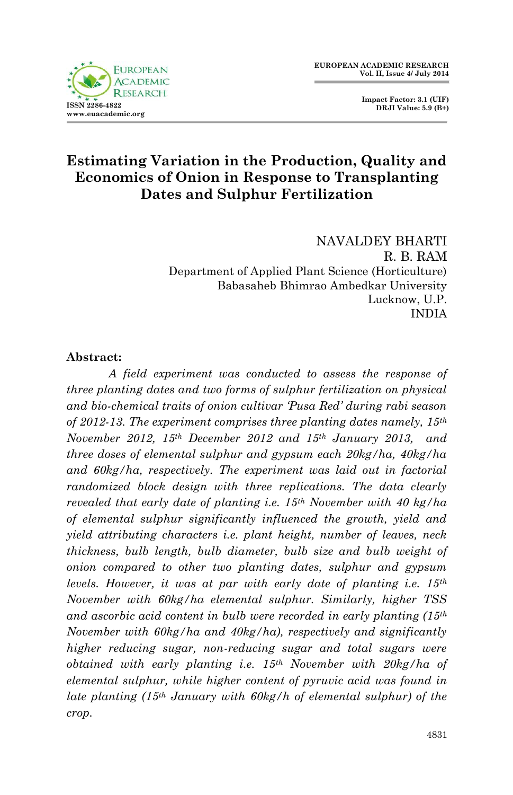

 **Impact Factor: 3.1 (UIF) DRJI Value: 5.9 (B+)**

## **Estimating Variation in the Production, Quality and Economics of Onion in Response to Transplanting Dates and Sulphur Fertilization**

NAVALDEY BHARTI R. B. RAM Department of Applied Plant Science (Horticulture) Babasaheb Bhimrao Ambedkar University Lucknow, U.P. INDIA

### **Abstract:**

*A field experiment was conducted to assess the response of three planting dates and two forms of sulphur fertilization on physical and bio-chemical traits of onion cultivar 'Pusa Red' during rabi season of 2012-13. The experiment comprises three planting dates namely, 15th November 2012, 15th December 2012 and 15th January 2013, and three doses of elemental sulphur and gypsum each 20kg/ha, 40kg/ha and 60kg/ha, respectively. The experiment was laid out in factorial randomized block design with three replications. The data clearly revealed that early date of planting i.e. 15th November with 40 kg/ha of elemental sulphur significantly influenced the growth, yield and yield attributing characters i.e. plant height, number of leaves, neck thickness, bulb length, bulb diameter, bulb size and bulb weight of onion compared to other two planting dates, sulphur and gypsum levels. However, it was at par with early date of planting i.e. 15th November with 60kg/ha elemental sulphur. Similarly, higher TSS and ascorbic acid content in bulb were recorded in early planting (15th November with 60kg/ha and 40kg/ha), respectively and significantly higher reducing sugar, non-reducing sugar and total sugars were obtained with early planting i.e. 15th November with 20kg/ha of elemental sulphur, while higher content of pyruvic acid was found in late planting (15th January with 60kg/h of elemental sulphur) of the crop.*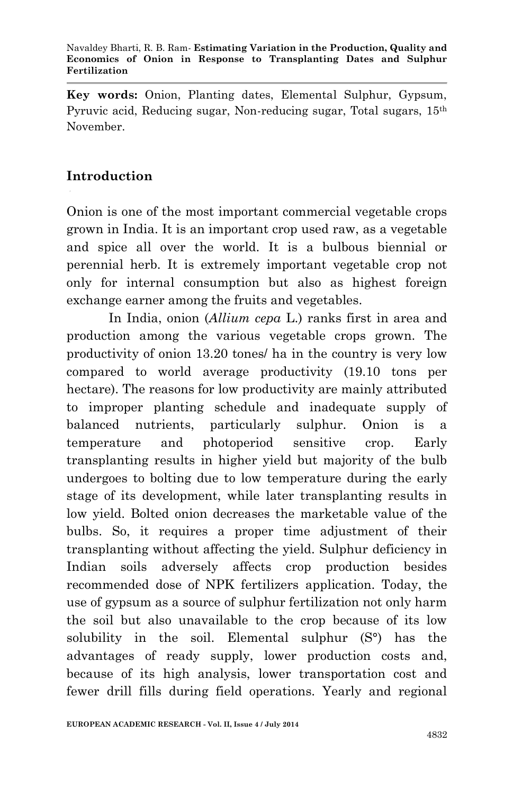**Key words:** Onion, Planting dates, Elemental Sulphur, Gypsum, Pyruvic acid, Reducing sugar, Non-reducing sugar, Total sugars, 15<sup>th</sup> November.

# **Introduction**

Onion is one of the most important commercial vegetable crops grown in India. It is an important crop used raw, as a vegetable and spice all over the world. It is a bulbous biennial or perennial herb. It is extremely important vegetable crop not only for internal consumption but also as highest foreign exchange earner among the fruits and vegetables.

In India, onion (*Allium cepa* L.) ranks first in area and production among the various vegetable crops grown. The productivity of onion 13.20 tones/ ha in the country is very low compared to world average productivity (19.10 tons per hectare). The reasons for low productivity are mainly attributed to improper planting schedule and inadequate supply of balanced nutrients, particularly sulphur. Onion is a temperature and photoperiod sensitive crop. Early transplanting results in higher yield but majority of the bulb undergoes to bolting due to low temperature during the early stage of its development, while later transplanting results in low yield. Bolted onion decreases the marketable value of the bulbs. So, it requires a proper time adjustment of their transplanting without affecting the yield. Sulphur deficiency in Indian soils adversely affects crop production besides recommended dose of NPK fertilizers application. Today, the use of gypsum as a source of sulphur fertilization not only harm the soil but also unavailable to the crop because of its low solubility in the soil. Elemental sulphur (S°) has the advantages of ready supply, lower production costs and, because of its high analysis, lower transportation cost and fewer drill fills during field operations. Yearly and regional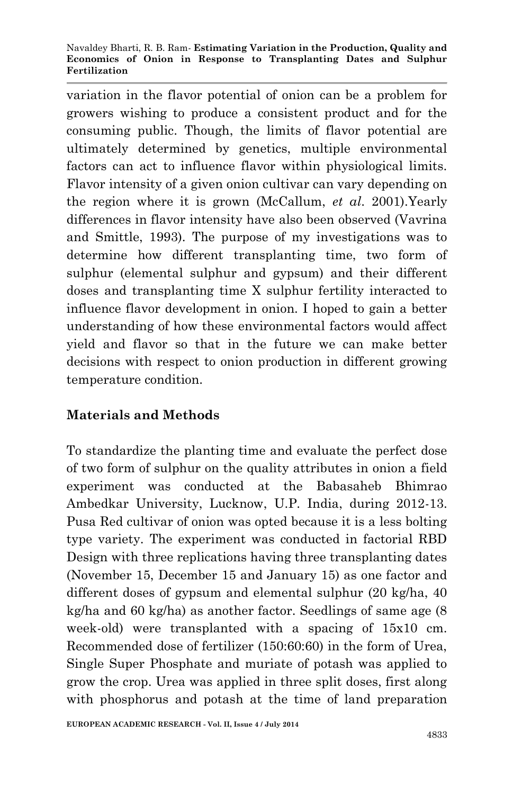#### Navaldey Bharti, R. B. Ram*-* **Estimating Variation in the Production, Quality and Economics of Onion in Response to Transplanting Dates and Sulphur Fertilization**

variation in the flavor potential of onion can be a problem for growers wishing to produce a consistent product and for the consuming public. Though, the limits of flavor potential are ultimately determined by genetics, multiple environmental factors can act to influence flavor within physiological limits. Flavor intensity of a given onion cultivar can vary depending on the region where it is grown (McCallum, *et al*. 2001).Yearly differences in flavor intensity have also been observed (Vavrina and Smittle, 1993). The purpose of my investigations was to determine how different transplanting time, two form of sulphur (elemental sulphur and gypsum) and their different doses and transplanting time X sulphur fertility interacted to influence flavor development in onion. I hoped to gain a better understanding of how these environmental factors would affect yield and flavor so that in the future we can make better decisions with respect to onion production in different growing temperature condition.

### **Materials and Methods**

To standardize the planting time and evaluate the perfect dose of two form of sulphur on the quality attributes in onion a field experiment was conducted at the Babasaheb Bhimrao Ambedkar University, Lucknow, U.P. India, during 2012-13. Pusa Red cultivar of onion was opted because it is a less bolting type variety. The experiment was conducted in factorial RBD Design with three replications having three transplanting dates (November 15, December 15 and January 15) as one factor and different doses of gypsum and elemental sulphur (20 kg/ha, 40 kg/ha and 60 kg/ha) as another factor. Seedlings of same age (8 week-old) were transplanted with a spacing of 15x10 cm. Recommended dose of fertilizer (150:60:60) in the form of Urea, Single Super Phosphate and muriate of potash was applied to grow the crop. Urea was applied in three split doses, first along with phosphorus and potash at the time of land preparation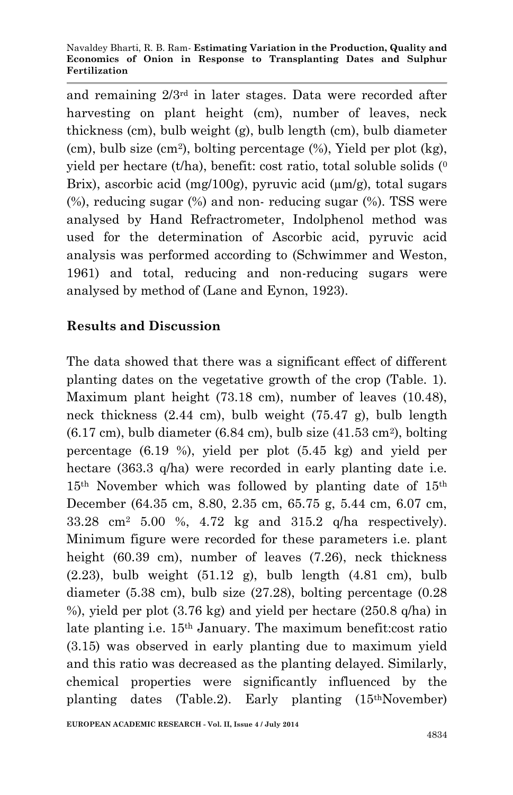and remaining 2/3rd in later stages. Data were recorded after harvesting on plant height (cm), number of leaves, neck thickness (cm), bulb weight (g), bulb length (cm), bulb diameter (cm), bulb size (cm<sup>2</sup> ), bolting percentage (%), Yield per plot (kg), yield per hectare  $(t/ha)$ , benefit: cost ratio, total soluble solids  $(0)$ Brix), ascorbic acid (mg/100g), pyruvic acid ( $\mu$ m/g), total sugars (%), reducing sugar (%) and non- reducing sugar (%). TSS were analysed by Hand Refractrometer, Indolphenol method was used for the determination of Ascorbic acid, pyruvic acid analysis was performed according to (Schwimmer and Weston, 1961) and total, reducing and non-reducing sugars were analysed by method of (Lane and Eynon, 1923).

## **Results and Discussion**

The data showed that there was a significant effect of different planting dates on the vegetative growth of the crop (Table. 1). Maximum plant height (73.18 cm), number of leaves (10.48), neck thickness (2.44 cm), bulb weight (75.47 g), bulb length  $(6.17 \text{ cm})$ , bulb diameter  $(6.84 \text{ cm})$ , bulb size  $(41.53 \text{ cm}^2)$ , bolting percentage (6.19 %), yield per plot (5.45 kg) and yield per hectare (363.3 q/ha) were recorded in early planting date i.e.  $15<sup>th</sup>$  November which was followed by planting date of  $15<sup>th</sup>$ December (64.35 cm, 8.80, 2.35 cm, 65.75 g, 5.44 cm, 6.07 cm, 33.28 cm<sup>2</sup> 5.00 %, 4.72 kg and 315.2 q/ha respectively). Minimum figure were recorded for these parameters i.e. plant height (60.39 cm), number of leaves (7.26), neck thickness  $(2.23)$ , bulb weight  $(51.12 \text{ g})$ , bulb length  $(4.81 \text{ cm})$ , bulb diameter (5.38 cm), bulb size (27.28), bolting percentage (0.28 %), yield per plot (3.76 kg) and yield per hectare (250.8 q/ha) in late planting i.e. 15th January. The maximum benefit:cost ratio (3.15) was observed in early planting due to maximum yield and this ratio was decreased as the planting delayed. Similarly, chemical properties were significantly influenced by the planting dates (Table.2). Early planting (15thNovember)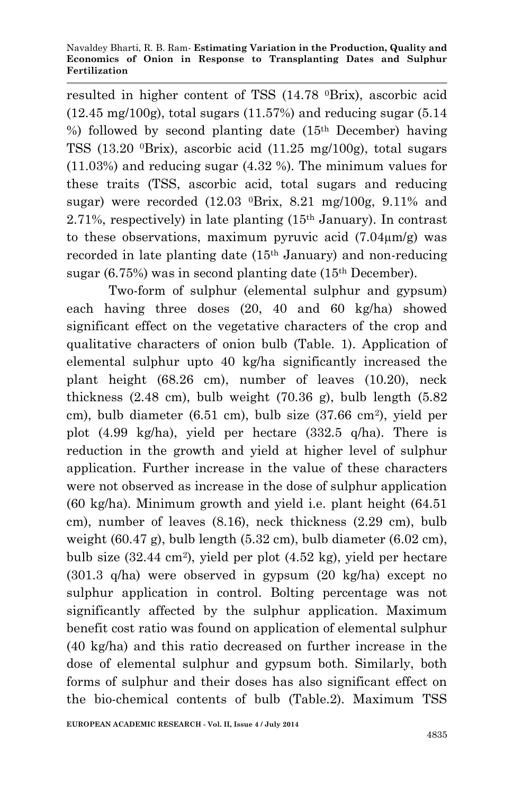resulted in higher content of TSS (14.78 0Brix), ascorbic acid  $(12.45 \text{ mg}/100g)$ , total sugars  $(11.57%)$  and reducing sugar  $(5.14$ %) followed by second planting date  $(15<sup>th</sup>$  December) having TSS (13.20  ${}^{0}$ Brix), ascorbic acid (11.25 mg/100g), total sugars (11.03%) and reducing sugar (4.32 %). The minimum values for these traits (TSS, ascorbic acid, total sugars and reducing sugar) were recorded  $(12.03 \text{ }\,^0\text{Brix}, \, 8.21 \text{ }\,^0\text{me}/100g, \, 9.11\% \,$  and 2.71%, respectively) in late planting (15th January). In contrast to these observations, maximum pyruvic acid  $(7.04 \mu m/g)$  was recorded in late planting date (15th January) and non-reducing sugar (6.75%) was in second planting date (15th December).

Two-form of sulphur (elemental sulphur and gypsum) each having three doses (20, 40 and 60 kg/ha) showed significant effect on the vegetative characters of the crop and qualitative characters of onion bulb (Table. 1). Application of elemental sulphur upto 40 kg/ha significantly increased the plant height (68.26 cm), number of leaves (10.20), neck thickness  $(2.48 \text{ cm})$ , bulb weight  $(70.36 \text{ g})$ , bulb length  $(5.82 \text{ m})$ cm), bulb diameter (6.51 cm), bulb size (37.66 cm<sup>2</sup> ), yield per plot (4.99 kg/ha), yield per hectare (332.5 q/ha). There is reduction in the growth and yield at higher level of sulphur application. Further increase in the value of these characters were not observed as increase in the dose of sulphur application (60 kg/ha). Minimum growth and yield i.e. plant height (64.51 cm), number of leaves (8.16), neck thickness (2.29 cm), bulb weight  $(60.47 \text{ g})$ , bulb length  $(5.32 \text{ cm})$ , bulb diameter  $(6.02 \text{ cm})$ , bulb size (32.44 cm<sup>2</sup> ), yield per plot (4.52 kg), yield per hectare (301.3 q/ha) were observed in gypsum (20 kg/ha) except no sulphur application in control. Bolting percentage was not significantly affected by the sulphur application. Maximum benefit cost ratio was found on application of elemental sulphur (40 kg/ha) and this ratio decreased on further increase in the dose of elemental sulphur and gypsum both. Similarly, both forms of sulphur and their doses has also significant effect on the bio-chemical contents of bulb (Table.2). Maximum TSS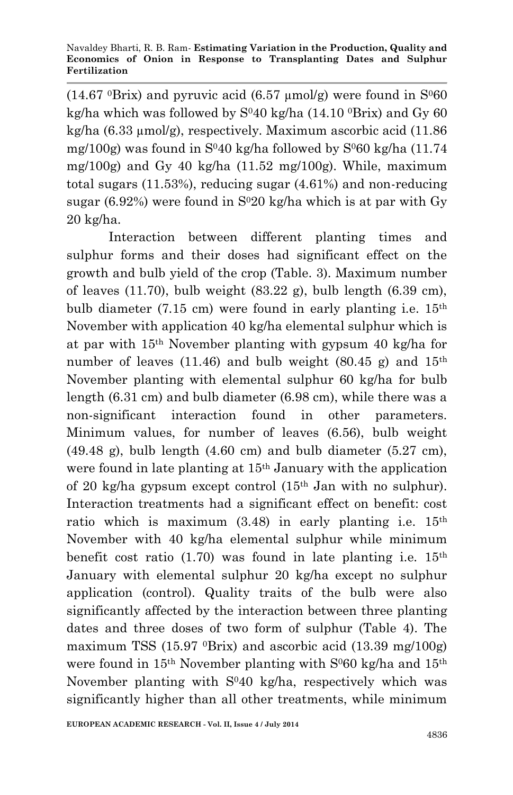$(14.67 \text{ }^{\circ}B$ rix) and pyruvic acid  $(6.57 \text{ } \mu \text{mol/g})$  were found in S $^{0}60$ kg/ha which was followed by  $S^{04}0$  kg/ha (14.10  $^{0}$ Brix) and Gy 60 kg/ha (6.33 µmol/g), respectively. Maximum ascorbic acid (11.86 mg/100g) was found in  $S^{04}$ 0 kg/ha followed by  $S^{0}$ 60 kg/ha (11.74 mg/100g) and Gy 40 kg/ha  $(11.52 \text{ mg}/100 \text{g})$ . While, maximum total sugars (11.53%), reducing sugar (4.61%) and non-reducing sugar (6.92%) were found in  $S^{020}$  kg/ha which is at par with Gy 20 kg/ha.

Interaction between different planting times and sulphur forms and their doses had significant effect on the growth and bulb yield of the crop (Table. 3). Maximum number of leaves  $(11.70)$ , bulb weight  $(83.22 \text{ g})$ , bulb length  $(6.39 \text{ cm})$ , bulb diameter (7.15 cm) were found in early planting i.e.  $15<sup>th</sup>$ November with application 40 kg/ha elemental sulphur which is at par with 15th November planting with gypsum 40 kg/ha for number of leaves (11.46) and bulb weight (80.45 g) and  $15<sup>th</sup>$ November planting with elemental sulphur 60 kg/ha for bulb length (6.31 cm) and bulb diameter (6.98 cm), while there was a non-significant interaction found in other parameters. Minimum values, for number of leaves (6.56), bulb weight  $(49.48 \text{ g})$ , bulb length  $(4.60 \text{ cm})$  and bulb diameter  $(5.27 \text{ cm})$ , were found in late planting at 15th January with the application of 20 kg/ha gypsum except control (15th Jan with no sulphur). Interaction treatments had a significant effect on benefit: cost ratio which is maximum  $(3.48)$  in early planting i.e.  $15<sup>th</sup>$ November with 40 kg/ha elemental sulphur while minimum benefit cost ratio  $(1.70)$  was found in late planting i.e.  $15<sup>th</sup>$ January with elemental sulphur 20 kg/ha except no sulphur application (control). Quality traits of the bulb were also significantly affected by the interaction between three planting dates and three doses of two form of sulphur (Table 4). The maximum TSS (15.97  $^0$ Brix) and ascorbic acid (13.39 mg/100g) were found in  $15<sup>th</sup>$  November planting with  $S<sup>0</sup>60$  kg/ha and  $15<sup>th</sup>$ November planting with S<sup>0</sup>40 kg/ha, respectively which was significantly higher than all other treatments, while minimum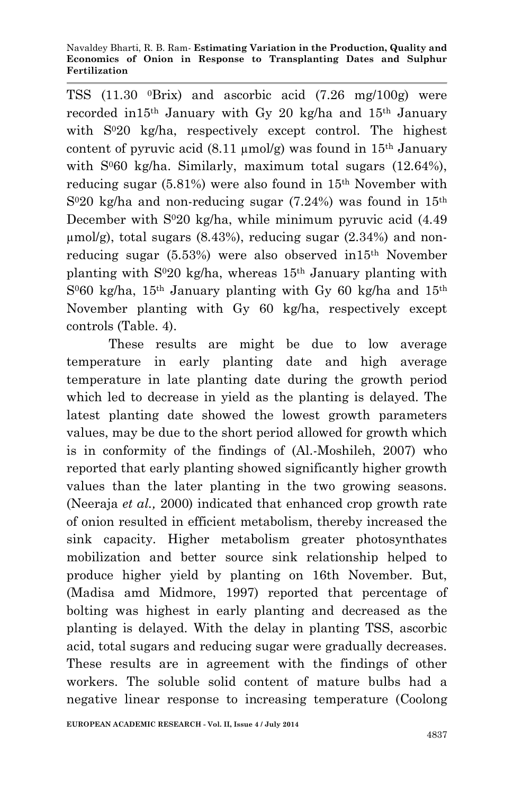TSS (11.30 0Brix) and ascorbic acid (7.26 mg/100g) were recorded in 15<sup>th</sup> January with Gy 20 kg/ha and  $15<sup>th</sup>$  January with  $S^{020}$  kg/ha, respectively except control. The highest content of pyruvic acid  $(8.11 \mu \text{mol/g})$  was found in  $15<sup>th</sup>$  January with  $S^{0}60$  kg/ha. Similarly, maximum total sugars  $(12.64\%)$ , reducing sugar (5.81%) were also found in 15th November with  $S<sup>020</sup>$  kg/ha and non-reducing sugar (7.24%) was found in 15<sup>th</sup> December with  $S^{020}$  kg/ha, while minimum pyruvic acid  $(4.49)$  $\mu$ mol/g), total sugars (8.43%), reducing sugar (2.34%) and nonreducing sugar (5.53%) were also observed in15th November planting with  $S^{020}$  kg/ha, whereas  $15<sup>th</sup>$  January planting with  $S<sup>0</sup>60$  kg/ha, 15<sup>th</sup> January planting with Gy 60 kg/ha and 15<sup>th</sup> November planting with Gy 60 kg/ha, respectively except controls (Table. 4).

These results are might be due to low average temperature in early planting date and high average temperature in late planting date during the growth period which led to decrease in yield as the planting is delayed. The latest planting date showed the lowest growth parameters values, may be due to the short period allowed for growth which is in conformity of the findings of (Al.-Moshileh, 2007) who reported that early planting showed significantly higher growth values than the later planting in the two growing seasons. (Neeraja *et al.,* 2000) indicated that enhanced crop growth rate of onion resulted in efficient metabolism, thereby increased the sink capacity. Higher metabolism greater photosynthates mobilization and better source sink relationship helped to produce higher yield by planting on 16th November. But, (Madisa amd Midmore, 1997) reported that percentage of bolting was highest in early planting and decreased as the planting is delayed. With the delay in planting TSS, ascorbic acid, total sugars and reducing sugar were gradually decreases. These results are in agreement with the findings of other workers. The soluble solid content of mature bulbs had a negative linear response to increasing temperature (Coolong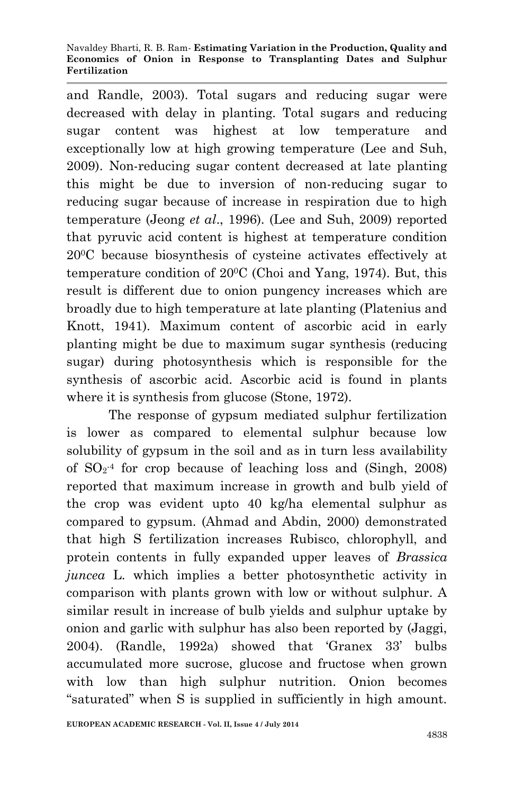#### Navaldey Bharti, R. B. Ram*-* **Estimating Variation in the Production, Quality and Economics of Onion in Response to Transplanting Dates and Sulphur Fertilization**

and Randle, 2003). Total sugars and reducing sugar were decreased with delay in planting. Total sugars and reducing sugar content was highest at low temperature and exceptionally low at high growing temperature (Lee and Suh, 2009). Non-reducing sugar content decreased at late planting this might be due to inversion of non-reducing sugar to reducing sugar because of increase in respiration due to high temperature (Jeong *et al*., 1996). (Lee and Suh, 2009) reported that pyruvic acid content is highest at temperature condition 200C because biosynthesis of cysteine activates effectively at temperature condition of 200C (Choi and Yang, 1974). But, this result is different due to onion pungency increases which are broadly due to high temperature at late planting (Platenius and Knott, 1941). Maximum content of ascorbic acid in early planting might be due to maximum sugar synthesis (reducing sugar) during photosynthesis which is responsible for the synthesis of ascorbic acid. Ascorbic acid is found in plants where it is synthesis from glucose (Stone, 1972).

The response of gypsum mediated sulphur fertilization is lower as compared to elemental sulphur because low solubility of gypsum in the soil and as in turn less availability of  $SO_2^4$  for crop because of leaching loss and (Singh, 2008) reported that maximum increase in growth and bulb yield of the crop was evident upto 40 kg/ha elemental sulphur as compared to gypsum. (Ahmad and Abdin, 2000) demonstrated that high S fertilization increases Rubisco, chlorophyll, and protein contents in fully expanded upper leaves of *Brassica juncea* L. which implies a better photosynthetic activity in comparison with plants grown with low or without sulphur. A similar result in increase of bulb yields and sulphur uptake by onion and garlic with sulphur has also been reported by (Jaggi, 2004). (Randle, 1992a) showed that 'Granex 33' bulbs accumulated more sucrose, glucose and fructose when grown with low than high sulphur nutrition. Onion becomes "saturated" when S is supplied in sufficiently in high amount.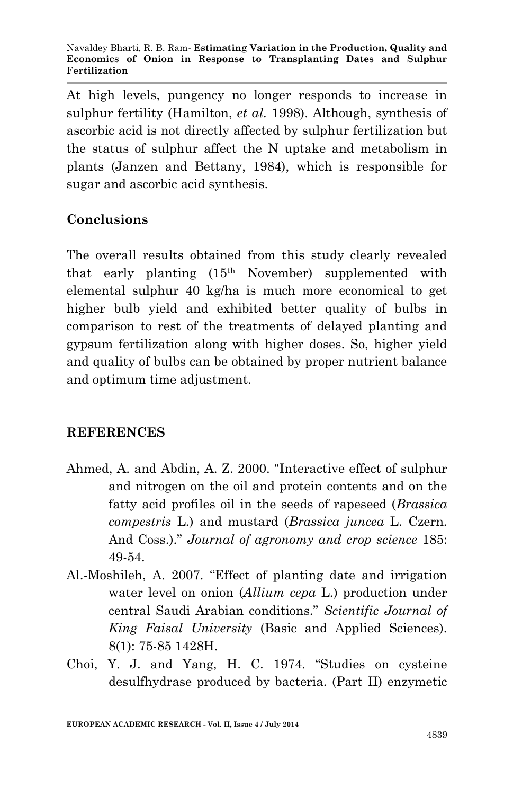At high levels, pungency no longer responds to increase in sulphur fertility (Hamilton, *et al.* 1998). Although, synthesis of ascorbic acid is not directly affected by sulphur fertilization but the status of sulphur affect the N uptake and metabolism in plants (Janzen and Bettany, 1984), which is responsible for sugar and ascorbic acid synthesis.

# **Conclusions**

The overall results obtained from this study clearly revealed that early planting (15th November) supplemented with elemental sulphur 40 kg/ha is much more economical to get higher bulb yield and exhibited better quality of bulbs in comparison to rest of the treatments of delayed planting and gypsum fertilization along with higher doses. So, higher yield and quality of bulbs can be obtained by proper nutrient balance and optimum time adjustment.

### **REFERENCES**

- Ahmed, A. and Abdin, A. Z. 2000. "Interactive effect of sulphur and nitrogen on the oil and protein contents and on the fatty acid profiles oil in the seeds of rapeseed (*Brassica compestris* L.) and mustard (*Brassica juncea* L. Czern. And Coss.)." *Journal of agronomy and crop science* 185: 49-54.
- Al.-Moshileh, A. 2007. "Effect of planting date and irrigation water level on onion (*Allium cepa* L.) production under central Saudi Arabian conditions." *Scientific Journal of King Faisal University* (Basic and Applied Sciences). 8(1): 75-85 1428H.
- Choi, Y. J. and Yang, H. C. 1974. "Studies on cysteine desulfhydrase produced by bacteria. (Part II) enzymetic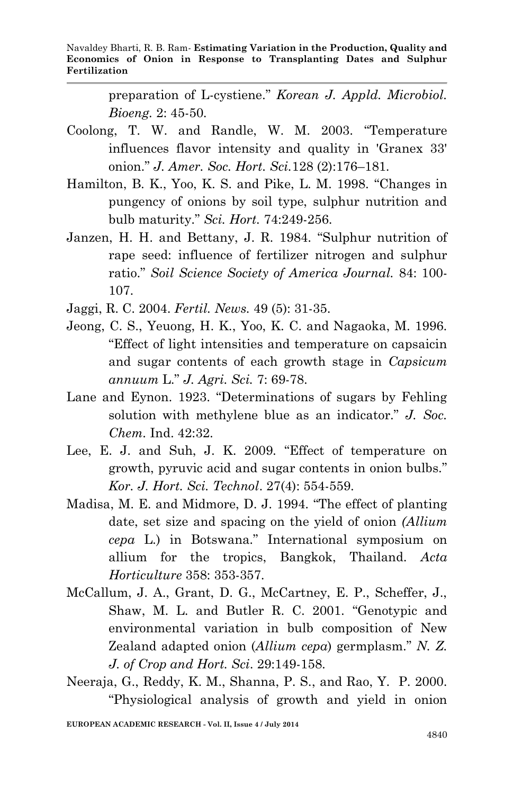preparation of L-cystiene." *Korean J. Appld. Microbiol. Bioeng.* 2: 45-50.

- Coolong, T. W. and Randle, W. M. 2003. "Temperature influences flavor intensity and quality in 'Granex 33' onion." *J. Amer. Soc. Hort. Sci.*128 (2):176–181.
- Hamilton, B. K., Yoo, K. S. and Pike, L. M. 1998. "Changes in pungency of onions by soil type, sulphur nutrition and bulb maturity." *Sci. Hort.* 74:249-256.
- Janzen, H. H. and Bettany, J. R. 1984. "Sulphur nutrition of rape seed: influence of fertilizer nitrogen and sulphur ratio." *Soil Science Society of America Journal.* 84: 100- 107.
- Jaggi, R. C. 2004. *Fertil. News.* 49 (5): 31-35.
- Jeong, C. S., Yeuong, H. K., Yoo, K. C. and Nagaoka, M. 1996. "Effect of light intensities and temperature on capsaicin and sugar contents of each growth stage in *Capsicum annuum* L." *J. Agri. Sci.* 7: 69-78.
- Lane and Eynon. 1923. "Determinations of sugars by Fehling solution with methylene blue as an indicator." *J. Soc. Chem.* Ind. 42:32.
- Lee, E. J. and Suh, J. K. 2009. "Effect of temperature on growth, pyruvic acid and sugar contents in onion bulbs." *Kor. J. Hort. Sci. Technol*. 27(4): 554-559.
- Madisa, M. E. and Midmore, D. J. 1994. "The effect of planting date, set size and spacing on the yield of onion *(Allium cepa* L.) in Botswana." International symposium on allium for the tropics, Bangkok, Thailand. *Acta Horticulture* 358: 353-357.
- McCallum, J. A., Grant, D. G., McCartney, E. P., Scheffer, J., Shaw, M. L. and Butler R. C. 2001. "Genotypic and environmental variation in bulb composition of New Zealand adapted onion (*Allium cepa*) germplasm." *N. Z. J. of Crop and Hort. Sci*. 29:149-158.
- Neeraja, G., Reddy, K. M., Shanna, P. S., and Rao, Y. P. 2000. "Physiological analysis of growth and yield in onion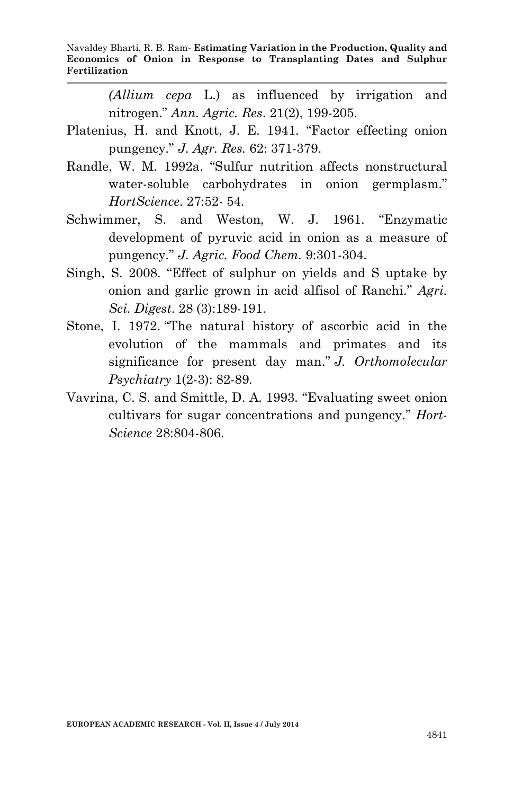*(Allium cepa* L.) as influenced by irrigation and nitrogen." *Ann. Agric. Res*. 21(2), 199-205.

- Platenius, H. and Knott, J. E. 1941. "Factor effecting onion pungency." *J. Agr. Res.* 62: 371-379.
- Randle, W. M. 1992a. "Sulfur nutrition affects nonstructural water-soluble carbohydrates in onion germplasm." *HortScience*. 27:52- 54.
- Schwimmer, S. and Weston, W. J. 1961. "Enzymatic development of pyruvic acid in onion as a measure of pungency." *J. Agric. Food Chem.* 9:301-304.
- Singh, S. 2008. "Effect of sulphur on yields and S uptake by onion and garlic grown in acid alfisol of Ranchi." *Agri. Sci. Digest*. 28 (3):189-191.
- Stone, I. 1972. "The natural history of ascorbic acid in the evolution of the mammals and primates and its significance for present day man." *J. Orthomolecular Psychiatry* 1(2-3): 82-89.
- Vavrina, C. S. and Smittle, D. A. 1993. "Evaluating sweet onion cultivars for sugar concentrations and pungency." *Hort-Science* 28:804-806.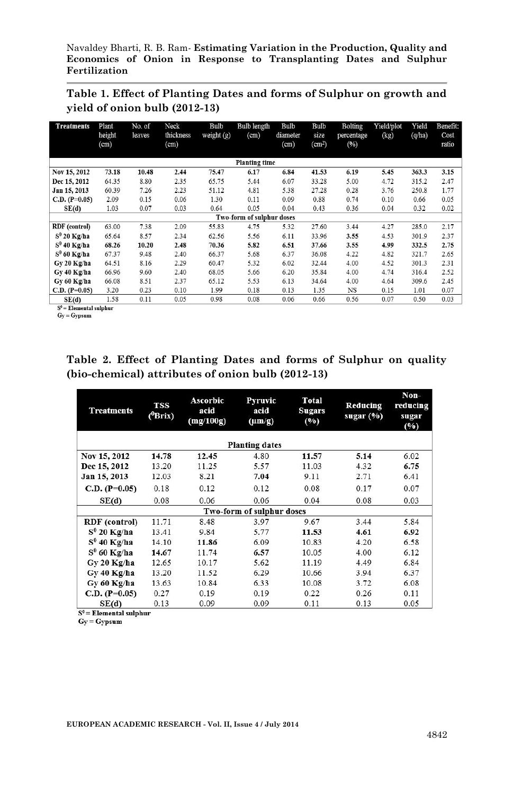### **Table 1. Effect of Planting Dates and forms of Sulphur on growth and yield of onion bulb (2012-13)**

| <b>Treatments</b>    | Plant<br>height<br>(cm) | No. of<br>leaves | Neck<br>thickness<br>(cm) | Bulb<br>weight $(g)$ | <b>Bulb</b> length<br>(cm) | Bulb<br>diameter<br>(cm) | Bulb<br>size<br>(cm <sup>2</sup> ) | <b>Bolting</b><br>percentage<br>(%) | Yield/plot<br>(kg) | Yield<br>(q/ha) | Benefit:<br>Cost<br>ratio |
|----------------------|-------------------------|------------------|---------------------------|----------------------|----------------------------|--------------------------|------------------------------------|-------------------------------------|--------------------|-----------------|---------------------------|
|                      |                         |                  |                           |                      | <b>Planting time</b>       |                          |                                    |                                     |                    |                 |                           |
| Nov 15, 2012         | 73.18                   | 10.48            | 2.44                      | 75.47                | 6.17                       | 6.84                     | 41.53                              | 6.19                                | 5.45               | 363.3           | 3.15                      |
| Dec 15, 2012         | 64.35                   | 8.80             | 2.35                      | 65.75                | 5.44                       | 6.07                     | 33.28                              | 5.00                                | 4.72               | 315.2           | 2.47                      |
| Jan 15, 2013         | 60.39                   | 7.26             | 2.23                      | 51.12                | 4.81                       | 5.38                     | 27.28                              | 0.28                                | 3.76               | 250.8           | 1.77                      |
| C.D. $(P=0.05)$      | 2.09                    | 0.15             | 0.06                      | 1.30                 | 0.11                       | 0.09                     | 0.88                               | 0.74                                | 0.10               | 0.66            | 0.05                      |
| SE(d)                | 1.03                    | 0.07             | 0.03                      | 0.64                 | 0.05                       | 0.04                     | 0.43                               | 0.36                                | 0.04               | 0.32            | 0.02                      |
|                      |                         |                  |                           |                      | Two-form of sulphur doses  |                          |                                    |                                     |                    |                 |                           |
| <b>RDF</b> (control) | 63.00                   | 7.38             | 2.09                      | 55.83                | 4.75                       | 5.32                     | 27.60                              | 3.44                                | 4.27               | 285.0           | 2.17                      |
| $S^0$ 20 Kg/ha       | 65.64                   | 8.57             | 2.34                      | 62.56                | 5.56                       | 6.11                     | 33.96                              | 3.55                                | 4.53               | 301.9           | 2.37                      |
| $S^0$ 40 Kg/ha       | 68.26                   | 10.20            | 2.48                      | 70.36                | 5.82                       | 6.51                     | 37.66                              | 3.55                                | 4.99               | 332.5           | 2.75                      |
| $S^0$ 60 Kg/ha       | 67.37                   | 9.48             | 2.40                      | 66.37                | 5.68                       | 6.37                     | 36.08                              | 4.22                                | 4.82               | 321.7           | 2.65                      |
| Gy 20 Kg/ha          | 64.51                   | 8.16             | 2.29                      | 60.47                | 5.32                       | 6.02                     | 32.44                              | 4.00                                | 4.52               | 301.3           | 2.31                      |
| Gy 40 Kg/ha          | 66.96                   | 9.60             | 2.40                      | 68.05                | 5.66                       | 6.20                     | 35.84                              | 4.00                                | 4.74               | 316.4           | 2.52                      |
| Gy 60 Kg/ha          | 66.08                   | 8.51             | 2.37                      | 65.12                | 5.53                       | 6.13                     | 34.64                              | 4.00                                | 4.64               | 309.6           | 2.45                      |
| $C.D. (P=0.05)$      | 3.20                    | 0.23             | 0.10                      | 1.99                 | 0.18                       | 0.13                     | 1.35                               | NS                                  | 0.15               | 1.01            | 0.07                      |
| SE(d)                | 1.58                    | 0.11             | 0.05                      | 0.98                 | 0.08                       | 0.06                     | 0.66                               | 0.56                                | 0.07               | 0.50            | 0.03                      |

 $S^0$  = Elemental sulphur

 $Gy = Gypsum$ 

### **Table 2. Effect of Planting Dates and forms of Sulphur on quality (bio-chemical) attributes of onion bulb (2012-13)**

| <b>Treatments</b>    | <b>TSS</b><br>$(^0Brix)$ | <b>Ascorbic</b><br>acid<br>(mg/100g) | <b>Pyruvic</b><br>acid<br>$(\mu m/g)$ | <b>Total</b><br><b>Sugars</b><br>(9/0) | Reducing<br>sugar $(\%$ | $Non-$<br>reducing<br>sugar<br>(%) |
|----------------------|--------------------------|--------------------------------------|---------------------------------------|----------------------------------------|-------------------------|------------------------------------|
|                      |                          |                                      | <b>Planting dates</b>                 |                                        |                         |                                    |
| Nov 15, 2012         | 14.78                    | 12.45                                | 4.80                                  | 11.57                                  | 5.14                    | 6.02                               |
| Dec 15, 2012         | 13.20                    | 11.25                                | 5.57                                  | 11.03                                  | 4.32                    | 6.75                               |
| Jan 15, 2013         | 12.03                    | 8.21                                 | 7.04                                  | 9.11                                   | 2.71                    | 6.41                               |
| $C.D. (P=0.05)$      | 0.18                     | 0.12                                 | 0.12                                  | 0.08                                   | 0.17                    | 0.07                               |
| SE(d)                | 0.08                     | 0.06                                 | 0.06                                  | 0.04                                   | 0.08                    | 0.03                               |
|                      |                          |                                      | Two-form of sulphur doses             |                                        |                         |                                    |
| <b>RDF</b> (control) | 11.71                    | 8.48                                 | 3.97                                  | 9.67                                   | 3.44                    | 5.84                               |
| $S^0$ 20 Kg/ha       | 13.41                    | 9.84                                 | 5.77                                  | 11.53                                  | 4.61                    | 6.92                               |
| $S^0$ 40 Kg/ha       | 14.10                    | 11.86                                | 6.09                                  | 10.83                                  | 4.20                    | 6.58                               |
| $S^0$ 60 Kg/ha       | 14.67                    | 11.74                                | 6.57                                  | 10.05                                  | 4.00                    | 6.12                               |
| Gv 20 Kg/ha          | 12.65                    | 10.17                                | 5.62                                  | 11.19                                  | 4.49                    | 6.84                               |
| Gv 40 Kg/ha          | 13.20                    | 11.52                                | 6.29                                  | 10.66                                  | 3.94                    | 6.37                               |
| Gy 60 Kg/ha          | 13.63                    | 10.84                                | 6.33                                  | 10.08                                  | 3.72                    | 6.08                               |
| $C.D. (P=0.05)$      | 0.27                     | 0.19                                 | 0.19                                  | 0.22                                   | 0.26                    | 0.11                               |
| SE(d)                | 0.13                     | 0.09                                 | 0.09                                  | 0.11                                   | 0.13                    | 0.05                               |

 $S^0$  = Elemental sulphur

 $\mathbf{G}\mathbf{y} = \mathbf{G}\mathbf{y}\mathbf{p}\mathbf{s}\mathbf{u}\mathbf{m}$